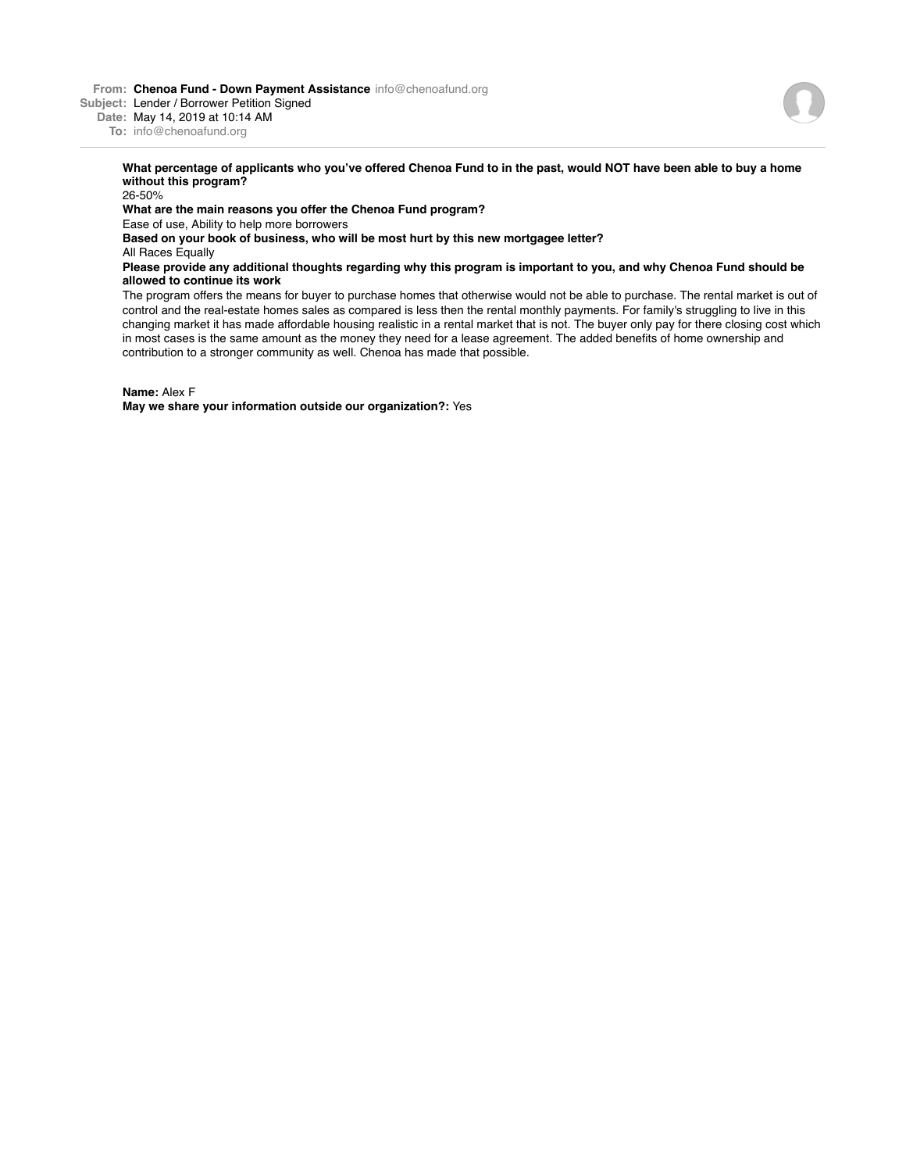**From: Chenoa Fund - Down Payment Assistance** info@chenoafund.org

**Subject:** Lender / Borrower Petition Signed

**Date:** May 14, 2019 at 10:14 AM

**To:** info@chenoafund.org

## **What percentage of applicants who you've offered Chenoa Fund to in the past, would NOT have been able to buy a home without this program?**

26-50% **What are the main reasons you offer the Chenoa Fund program?** Ease of use, Ability to help more borrowers **Based on your book of business, who will be most hurt by this new mortgagee letter?** All Races Equally **Please provide any additional thoughts regarding why this program is important to you, and why Chenoa Fund should be allowed to continue its work** The program offers the means for buyer to purchase homes that otherwise would not be able to purchase. The rental market is out of

control and the real-estate homes sales as compared is less then the rental monthly payments. For family's struggling to live in this changing market it has made affordable housing realistic in a rental market that is not. The buyer only pay for there closing cost which in most cases is the same amount as the money they need for a lease agreement. The added benefits of home ownership and contribution to a stronger community as well. Chenoa has made that possible.

**Name:** Alex F

**May we share your information outside our organization?:** Yes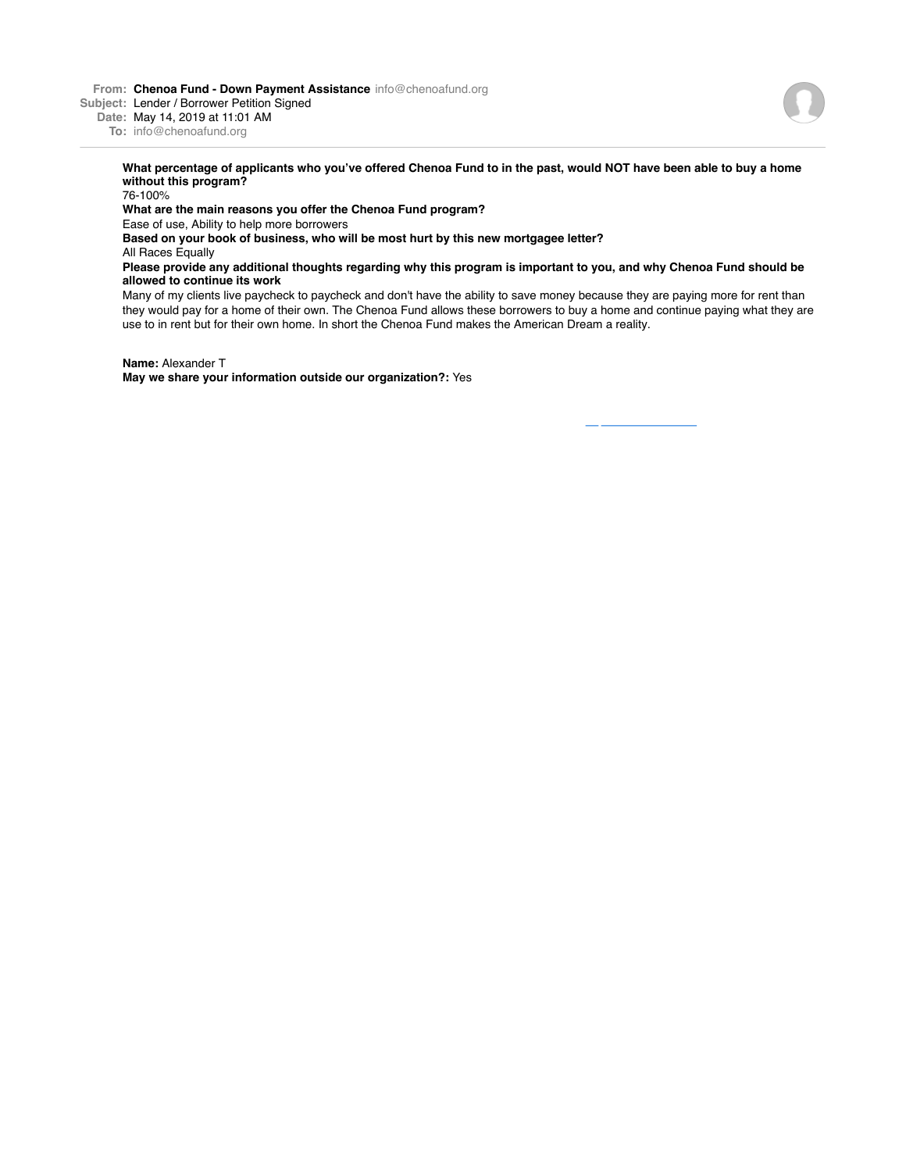**From: Chenoa Fund - Down Payment Assistance** info@chenoafund.org

**Subject:** Lender / Borrower Petition Signed

**Date:** May 14, 2019 at 11:01 AM

**To:** info@chenoafund.org

## **What percentage of applicants who you've offered Chenoa Fund to in the past, would NOT have been able to buy a home without this program?**

76-100%

## **What are the main reasons you offer the Chenoa Fund program?**

Ease of use, Ability to help more borrowers

**Based on your book of business, who will be most hurt by this new mortgagee letter?**

All Races Equally

## **Please provide any additional thoughts regarding why this program is important to you, and why Chenoa Fund should be allowed to continue its work**

Many of my clients live paycheck to paycheck and don't have the ability to save money because they are paying more for rent than they would pay for a home of their own. The Chenoa Fund allows these borrowers to buy a home and continue paying what they are use to in rent but for their own home. In short the Chenoa Fund makes the American Dream a reality.

**Name:** Alexander T

**May we share your information outside our organization?:** Yes